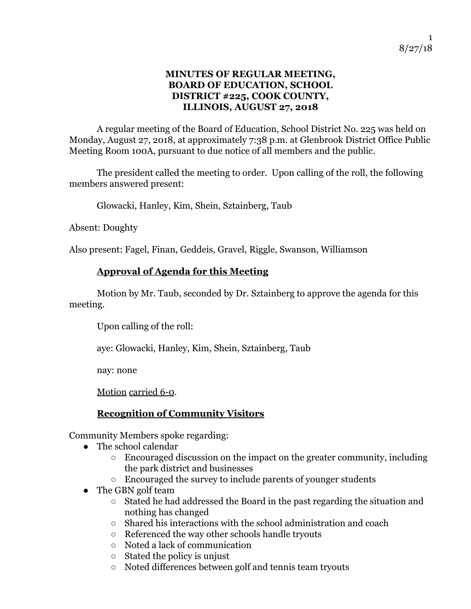#### **MINUTES OF REGULAR MEETING, BOARD OF EDUCATION, SCHOOL DISTRICT #225, COOK COUNTY, ILLINOIS, AUGUST 27, 2018**

A regular meeting of the Board of Education, School District No. 225 was held on Monday, August 27, 2018, at approximately 7:38 p.m. at Glenbrook District Office Public Meeting Room 100A, pursuant to due notice of all members and the public.

The president called the meeting to order. Upon calling of the roll, the following members answered present:

Glowacki, Hanley, Kim, Shein, Sztainberg, Taub

Absent: Doughty

Also present: Fagel, Finan, Geddeis, Gravel, Riggle, Swanson, Williamson

## **Approval of Agenda for this Meeting**

 Motion by Mr. Taub, seconded by Dr. Sztainberg to approve the agenda for this meeting.

Upon calling of the roll:

aye: Glowacki, Hanley, Kim, Shein, Sztainberg, Taub

nay: none

Motion carried 6-0.

# **Recognition of Community Visitors**

Community Members spoke regarding:

- The school calendar
	- Encouraged discussion on the impact on the greater community, including the park district and businesses
	- Encouraged the survey to include parents of younger students
- The GBN golf team
	- Stated he had addressed the Board in the past regarding the situation and nothing has changed
	- Shared his interactions with the school administration and coach
	- Referenced the way other schools handle tryouts
	- Noted a lack of communication
	- Stated the policy is unjust
	- Noted differences between golf and tennis team tryouts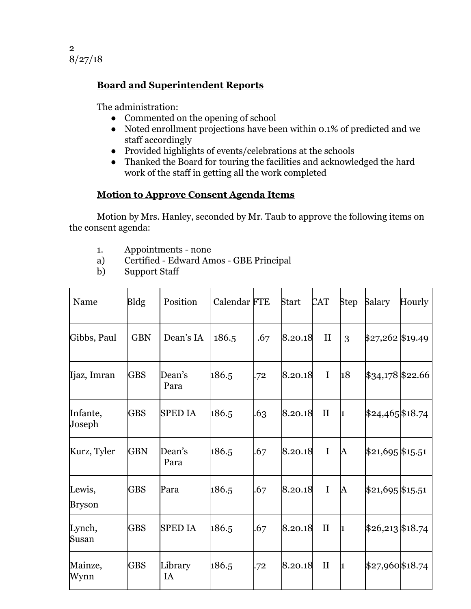

## **Board and Superintendent Reports**

The administration:

- Commented on the opening of school
- Noted enrollment projections have been within 0.1% of predicted and we staff accordingly
- Provided highlights of events/celebrations at the schools
- Thanked the Board for touring the facilities and acknowledged the hard work of the staff in getting all the work completed

#### **Motion to Approve Consent Agenda Items**

Motion by Mrs. Hanley, seconded by Mr. Taub to approve the following items on the consent agenda:

- 1. Appointments none
- a) Certified Edward Amos GBE Principal
- Support Staff

| <b>Name</b>             | Bldg       | Position       | <b>Calendar FTE</b> |     | <b>Start</b> | $\rm CAT$    | <b>Step</b> | <u>Salary</u>              | <u>Hourly</u> |
|-------------------------|------------|----------------|---------------------|-----|--------------|--------------|-------------|----------------------------|---------------|
| Gibbs, Paul             | <b>GBN</b> | Dean's IA      | 186.5               | .67 | 8.20.18      | $\mathbf{I}$ | 3           | \$27,262 \$19.49           |               |
| Ijaz, Imran             | <b>GBS</b> | Dean's<br>Para | 186.5               | .72 | 8.20.18      | $\mathbf I$  | 18          | $\frac{1}{34,178}$ \$22.66 |               |
| Infante,<br>Joseph      | <b>GBS</b> | <b>SPED IA</b> | 186.5               | .63 | 8.20.18      | $\mathbf{I}$ | 1           | $$24,465$ \$18.74          |               |
| Kurz, Tyler             | <b>GBN</b> | Dean's<br>Para | 186.5               | .67 | 8.20.18      | I            | A           | $$21,695$ \$15.51          |               |
| Lewis,<br><b>Bryson</b> | <b>GBS</b> | Para           | 186.5               | .67 | 8.20.18      | I            | A           | $$21,695$ \$15.51          |               |
| Lynch,<br>Susan         | <b>GBS</b> | <b>SPED IA</b> | 186.5               | .67 | 8.20.18      | $\mathbf{I}$ | 1           | $$26,213$ \$18.74          |               |
| Mainze,<br>Wynn         | <b>GBS</b> | Library<br>IA  | 186.5               | .72 | 8.20.18      | $\mathbf{I}$ | 1           | \$27,960\$18.74            |               |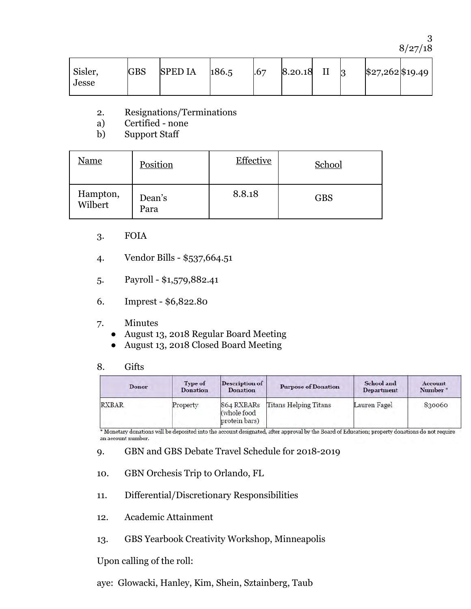3 8/27/18

| Sisler,<br>Jesse | <b>GBS</b> | <b>SPED IA</b> | 186.5 | .67 | 8.20.18 |  | 3 | \$27,262\$19.49 |  |
|------------------|------------|----------------|-------|-----|---------|--|---|-----------------|--|
|------------------|------------|----------------|-------|-----|---------|--|---|-----------------|--|

- 2. Resignations/Terminations
- Certified none
- b) Support Staff

| <u>Name</u>         | Position       | <b>Effective</b> | School     |
|---------------------|----------------|------------------|------------|
| Hampton,<br>Wilbert | Dean's<br>Para | 8.8.18           | <b>GBS</b> |

- 3. FOIA
- 4. Vendor Bills \$537,664.51
- 5. Payroll \$1,579,882.41
- 6. Imprest \$6,822.80
- 7. Minutes
	- August 13, 2018 Regular Board Meeting
	- August 13, 2018 Closed Board Meeting

#### 8. Gifts

| <b>Donor</b> | <b>Type of</b><br><b>Donation</b> | <b>Description of</b><br><b>Donation</b>   | <b>Purpose of Donation</b>   | School and<br><b>Department</b> | <b>Account</b><br>Number* |
|--------------|-----------------------------------|--------------------------------------------|------------------------------|---------------------------------|---------------------------|
| <b>RXBAR</b> | Property                          | 864 RXBARs<br>(whole food<br>protein bars) | <b>Titans Helping Titans</b> | Lauren Fagel                    | 830060                    |

\* Monetary donations will be deposited into the account designated, after approval by the Board of Education; property donations do not require an account number.

9. GBN and GBS Debate Travel Schedule for 2018-2019

- 10. GBN Orchesis Trip to Orlando, FL
- 11. Differential/Discretionary Responsibilities
- 12. Academic Attainment
- 13. GBS Yearbook Creativity Workshop, Minneapolis

Upon calling of the roll:

aye: Glowacki, Hanley, Kim, Shein, Sztainberg, Taub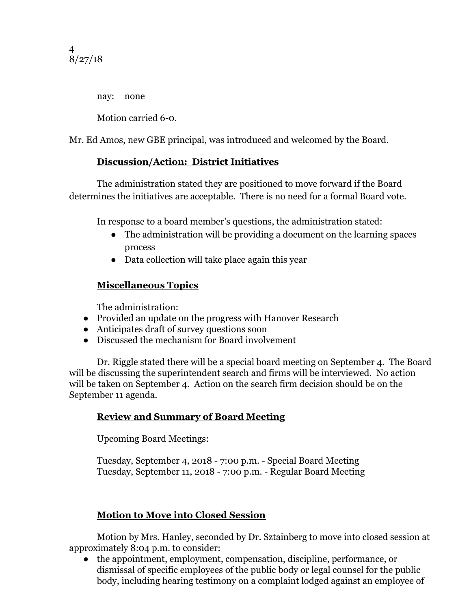nay: none

Motion carried 6-0.

Mr. Ed Amos, new GBE principal, was introduced and welcomed by the Board.

## **Discussion/Action: District Initiatives**

The administration stated they are positioned to move forward if the Board determines the initiatives are acceptable. There is no need for a formal Board vote.

In response to a board member's questions, the administration stated:

- The administration will be providing a document on the learning spaces process
- Data collection will take place again this year

# **Miscellaneous Topics**

The administration:

- Provided an update on the progress with Hanover Research
- Anticipates draft of survey questions soon
- Discussed the mechanism for Board involvement

Dr. Riggle stated there will be a special board meeting on September 4. The Board will be discussing the superintendent search and firms will be interviewed. No action will be taken on September 4. Action on the search firm decision should be on the September 11 agenda.

# **Review and Summary of Board Meeting**

Upcoming Board Meetings:

Tuesday, September 4, 2018 - 7:00 p.m. - Special Board Meeting Tuesday, September 11, 2018 - 7:00 p.m. - Regular Board Meeting

# **Motion to Move into Closed Session**

 Motion by Mrs. Hanley, seconded by Dr. Sztainberg to move into closed session at approximately 8:04 p.m. to consider:

● the appointment, employment, compensation, discipline, performance, or dismissal of specific employees of the public body or legal counsel for the public body, including hearing testimony on a complaint lodged against an employee of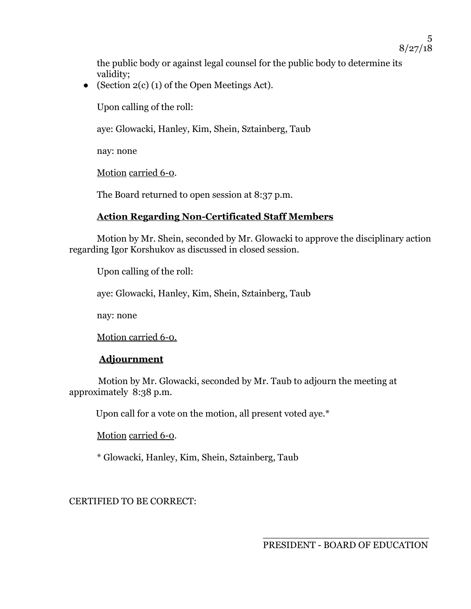the public body or against legal counsel for the public body to determine its validity;

• (Section  $2(c)$  (1) of the Open Meetings Act).

Upon calling of the roll:

aye: Glowacki, Hanley, Kim, Shein, Sztainberg, Taub

nay: none

Motion carried 6-0.

The Board returned to open session at 8:37 p.m.

#### **Action Regarding Non-Certificated Staff Members**

Motion by Mr. Shein, seconded by Mr. Glowacki to approve the disciplinary action regarding Igor Korshukov as discussed in closed session.

Upon calling of the roll:

aye: Glowacki, Hanley, Kim, Shein, Sztainberg, Taub

nay: none

Motion carried 6-0.

#### **Adjournment**

 Motion by Mr. Glowacki, seconded by Mr. Taub to adjourn the meeting at approximately 8:38 p.m.

Upon call for a vote on the motion, all present voted aye.\*

Motion carried 6-0.

\* Glowacki, Hanley, Kim, Shein, Sztainberg, Taub

CERTIFIED TO BE CORRECT:

\_\_\_\_\_\_\_\_\_\_\_\_\_\_\_\_\_\_\_\_\_\_\_\_\_\_\_\_ PRESIDENT - BOARD OF EDUCATION